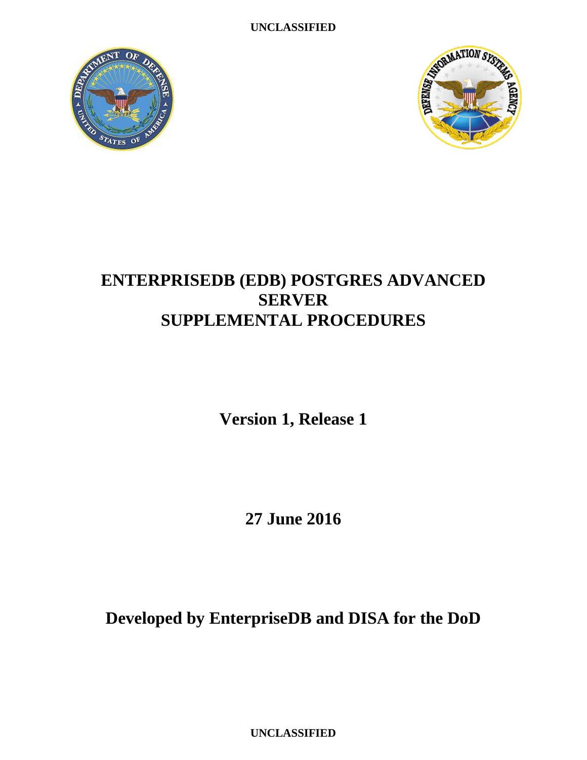**UNCLASSIFIED**





# **ENTERPRISEDB (EDB) POSTGRES ADVANCED SERVER SUPPLEMENTAL PROCEDURES**

**Version 1, Release 1**

**27 June 2016**

**Developed by EnterpriseDB and DISA for the DoD**

**UNCLASSIFIED**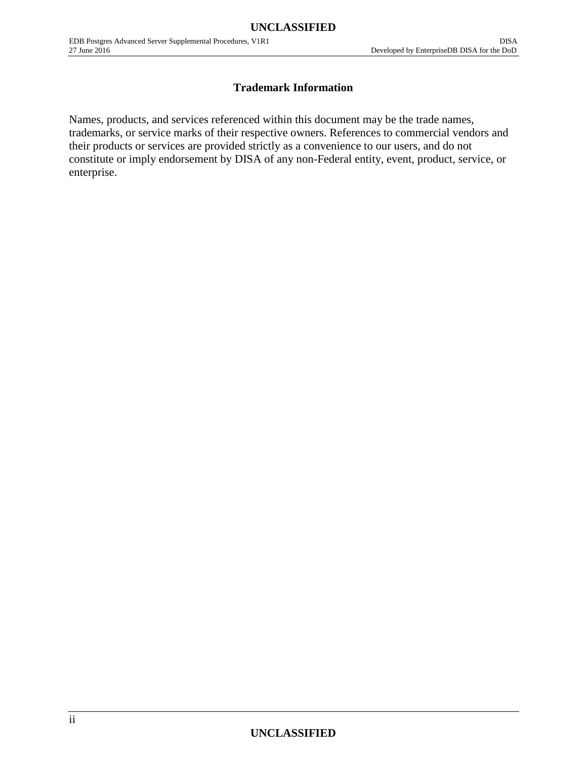#### **Trademark Information**

Names, products, and services referenced within this document may be the trade names, trademarks, or service marks of their respective owners. References to commercial vendors and their products or services are provided strictly as a convenience to our users, and do not constitute or imply endorsement by DISA of any non-Federal entity, event, product, service, or enterprise.

# **UNCLASSIFIED**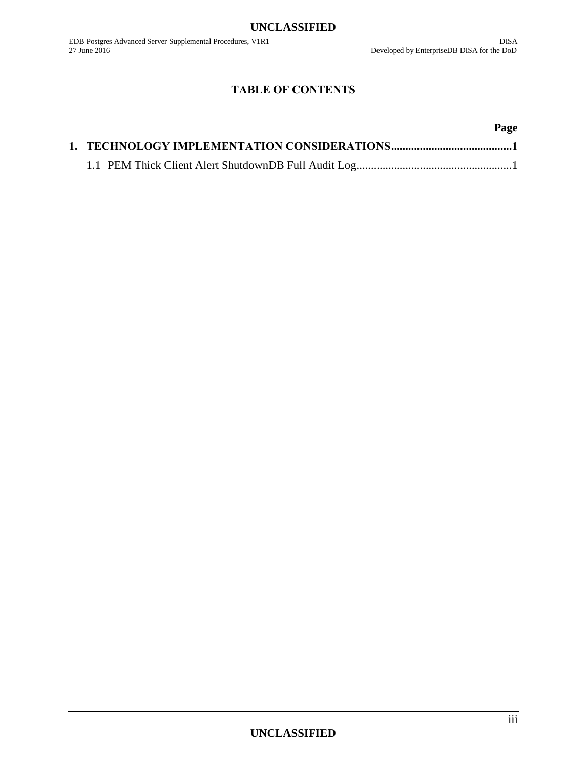# **TABLE OF CONTENTS**

# **Page**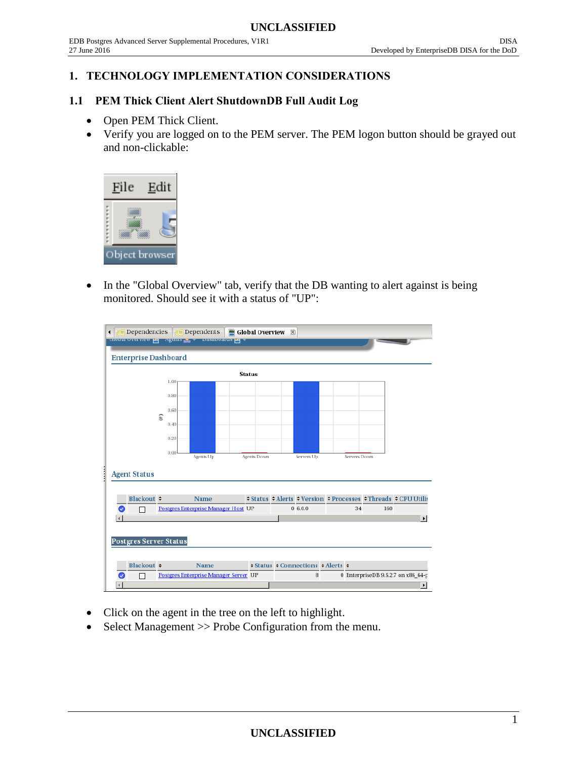#### <span id="page-3-0"></span>**1. TECHNOLOGY IMPLEMENTATION CONSIDERATIONS**

#### <span id="page-3-1"></span>**1.1 PEM Thick Client Alert ShutdownDB Full Audit Log**

- Open PEM Thick Client.
- Verify you are logged on to the PEM server. The PEM logon button should be grayed out and non-clickable:



 In the "Global Overview" tab, verify that the DB wanting to alert against is being monitored. Should see it with a status of "UP":

| $E$ Dependencies<br>$\mathbb{E}$ Dependents<br>$\blacksquare$ Global Overview $\boxtimes$<br>◀ |           |                                       |  |             |  |                                                       |  |              |     |                                                               |
|------------------------------------------------------------------------------------------------|-----------|---------------------------------------|--|-------------|--|-------------------------------------------------------|--|--------------|-----|---------------------------------------------------------------|
| unoual overview eq Agents as v Dasnoual us eq                                                  |           |                                       |  |             |  |                                                       |  |              |     |                                                               |
| <b>Enterprise Dashboard</b>                                                                    |           |                                       |  |             |  |                                                       |  |              |     |                                                               |
| <b>Status</b>                                                                                  |           |                                       |  |             |  |                                                       |  |              |     |                                                               |
|                                                                                                | 1.00      |                                       |  |             |  |                                                       |  |              |     |                                                               |
|                                                                                                | 0.80      |                                       |  |             |  |                                                       |  |              |     |                                                               |
|                                                                                                | 0.60<br>E |                                       |  |             |  |                                                       |  |              |     |                                                               |
|                                                                                                | 0.40      |                                       |  |             |  |                                                       |  |              |     |                                                               |
|                                                                                                | 0.20      |                                       |  |             |  |                                                       |  |              |     |                                                               |
|                                                                                                | 0.00      | Agents Up                             |  | Agents Down |  | Servers Up                                            |  | Servers Down |     |                                                               |
|                                                                                                |           |                                       |  |             |  |                                                       |  |              |     |                                                               |
| <b>Agent Status</b>                                                                            |           |                                       |  |             |  |                                                       |  |              |     |                                                               |
| Blackout $\div$                                                                                |           | <b>Name</b>                           |  |             |  |                                                       |  |              |     | ≑Status ≑ Alerts ≑ Version ≑ Processes ≑ Threads ≑ CPU Utilis |
| ✓                                                                                              |           | Postgres Enterprise Manager Host UP   |  |             |  | 06.0.0                                                |  | 34           | 160 |                                                               |
|                                                                                                |           |                                       |  |             |  |                                                       |  |              |     | $\blacktriangleright$                                         |
|                                                                                                |           |                                       |  |             |  |                                                       |  |              |     |                                                               |
| <b>Postgres Server Status</b>                                                                  |           |                                       |  |             |  |                                                       |  |              |     |                                                               |
|                                                                                                |           |                                       |  |             |  |                                                       |  |              |     |                                                               |
| Blackout $\div$                                                                                |           | <b>Name</b>                           |  |             |  | $\div$ Status $\div$ Connections $\div$ Alerts $\div$ |  |              |     |                                                               |
|                                                                                                |           | Postgres Enterprise Manager Server UP |  |             |  | 8                                                     |  |              |     | 0 EnterpriseDB 9.5.2.7 on x86_64-p                            |
|                                                                                                |           |                                       |  |             |  |                                                       |  |              |     | $\blacktriangleright$                                         |

- Click on the agent in the tree on the left to highlight.
- Select Management >> Probe Configuration from the menu.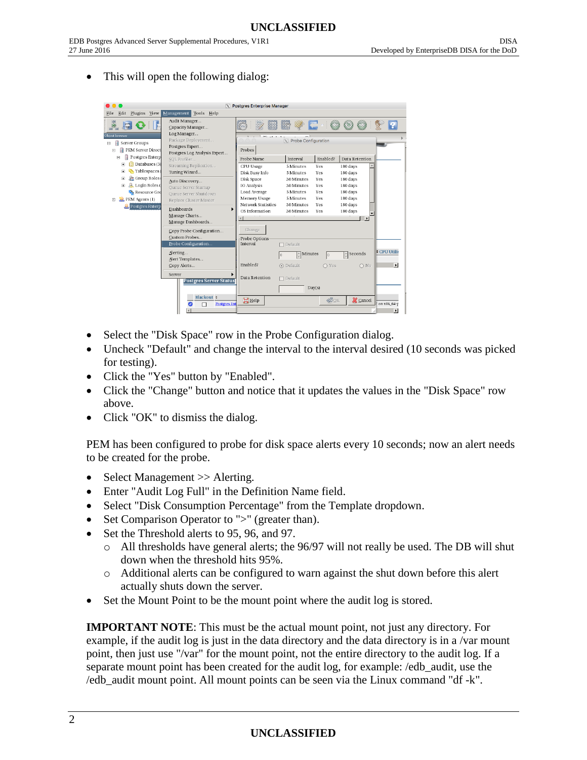This will open the following dialog:

| c<br>X Postgres Enterprise Manager<br>$\bullet$                                                  |                                                                                           |                                                           |                                                                                |                                                                   |                                     |  |
|--------------------------------------------------------------------------------------------------|-------------------------------------------------------------------------------------------|-----------------------------------------------------------|--------------------------------------------------------------------------------|-------------------------------------------------------------------|-------------------------------------|--|
| Edit<br>Plugins View<br>File                                                                     | Management<br>Tools Help                                                                  |                                                           |                                                                                |                                                                   |                                     |  |
|                                                                                                  | Audit Manager<br>Capacity Manager                                                         |                                                           |                                                                                |                                                                   |                                     |  |
| Object browser<br>目<br>Server Groups<br>同<br><b>PEM Server Direct</b><br>$\qquad \qquad \Box$    | Log Manager<br>Package Deployment<br>Postgres Expert<br>Postgres Log Analysis Expert      | Probes                                                    | $\overline{X}$ Probe Configuration                                             |                                                                   |                                     |  |
| Postgres Enterp<br>Ξ                                                                             | SOL Profiler                                                                              | Probe Name                                                | Enabled?<br>Interval                                                           | Data Retention                                                    |                                     |  |
| Databases (3)<br>国<br>Tablespaces<br>$\blacksquare$                                              | Streaming Replication<br>Tuning Wizard                                                    | CPU Usage<br>Disk Busy Info                               | 5 Minutes<br>Yes<br>Yes<br>5 Minutes                                           | 180 days<br>180 days                                              |                                     |  |
| Group Roles<br>$\blacksquare$<br>д<br>Login Roles (<br>国<br>Resource Grd<br>PEM Agents (1)<br>F. | Auto Discovery<br>Queue Server Startup<br>Queue Server Shutdown<br>Replace Cluster Master | Disk Space<br>IO Analysis<br>Load Average<br>Memory Usage | 30 Minutes<br>Yes<br>30 Minutes<br>Yes<br>5 Minutes<br>Yes<br>5 Minutes<br>Yes | 180 days<br>180 days<br>180 days<br>180 days                      |                                     |  |
| Postgres Enterp                                                                                  | Dashboards<br>Manage Charts<br>Manage Dashboards                                          | Network Statistics<br>OS Information                      | 30 Minutes<br>Yes<br>30 Minutes<br>Yes                                         | 180 days<br>180 days<br>$\mathbf{E}$                              |                                     |  |
|                                                                                                  | Copy Probe Configuration<br>Custom Probes<br>Probe Configuration                          | Change<br>Probe Options<br>Interval                       | □ Default                                                                      |                                                                   |                                     |  |
|                                                                                                  | Alerting<br>Alert Templates<br>Copy Alerts                                                | Enabled?                                                  | $\frac{1}{x}$ Minutes<br>$\odot$ Default                                       | Seconds<br>$\frac{1}{\pi}$<br>$\overline{0}$<br>$O$ Yes<br>$O$ No | CPU Utilis<br>$\blacktriangleright$ |  |
|                                                                                                  | Server<br><b>Postgres Server Status</b>                                                   | Data Retention                                            | $\Box$ Default<br>Day(s)                                                       |                                                                   |                                     |  |
|                                                                                                  | Blackout $\div$<br><b>Postgres Ent</b><br>◙                                               | Help                                                      |                                                                                | <b>X</b> Cancel<br>$\triangleleft$ ok                             | on x86_64-p                         |  |

- Select the "Disk Space" row in the Probe Configuration dialog.
- Uncheck "Default" and change the interval to the interval desired (10 seconds was picked for testing).
- Click the "Yes" button by "Enabled".
- Click the "Change" button and notice that it updates the values in the "Disk Space" row above.
- Click "OK" to dismiss the dialog.

PEM has been configured to probe for disk space alerts every 10 seconds; now an alert needs to be created for the probe.

- Select Management >> Alerting.
- Enter "Audit Log Full" in the Definition Name field.
- Select "Disk Consumption Percentage" from the Template dropdown.
- Set Comparison Operator to ">" (greater than).
- Set the Threshold alerts to 95, 96, and 97.
	- o All thresholds have general alerts; the 96/97 will not really be used. The DB will shut down when the threshold hits 95%.
	- o Additional alerts can be configured to warn against the shut down before this alert actually shuts down the server.
- Set the Mount Point to be the mount point where the audit log is stored.

**IMPORTANT NOTE**: This must be the actual mount point, not just any directory. For example, if the audit log is just in the data directory and the data directory is in a /var mount point, then just use "/var" for the mount point, not the entire directory to the audit log. If a separate mount point has been created for the audit log, for example: /edb\_audit, use the /edb\_audit mount point. All mount points can be seen via the Linux command "df -k".

# **UNCLASSIFIED**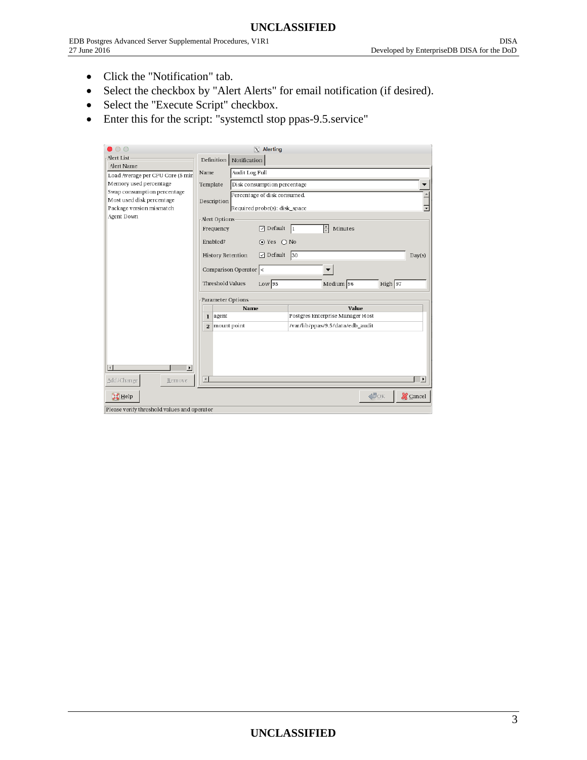- Click the "Notification" tab.
- Select the checkbox by "Alert Alerts" for email notification (if desired).
- Select the "Execute Script" checkbox.
- Enter this for the script: "systemctl stop ppas-9.5.service"

| $\circ$                                                    |                               |                | $X$ Alerting                  |                                  |                    |                       |  |
|------------------------------------------------------------|-------------------------------|----------------|-------------------------------|----------------------------------|--------------------|-----------------------|--|
| Alert List                                                 | Definition                    | Notification   |                               |                                  |                    |                       |  |
| Alert Name                                                 | Name                          | Audit Log Full |                               |                                  |                    |                       |  |
| Load Average per CPU Core (5 min<br>Memory used percentage | Template                      |                | Disk consumption percentage   |                                  |                    |                       |  |
| Swap consumption percentage                                |                               |                | Percentage of disk consumed.  |                                  |                    |                       |  |
| Most used disk percentage                                  | Description                   |                |                               |                                  |                    |                       |  |
| Package version mismatch                                   |                               |                | Required probe(s): disk_space |                                  |                    |                       |  |
| Agent Down                                                 | -Alert Options                |                |                               |                                  |                    |                       |  |
|                                                            | Frequency                     |                | $\sqrt{ }$ Default 1          | $\frac{1}{\tau}$<br>Minutes      |                    |                       |  |
|                                                            | Enabled?                      |                | $\odot$ Yes $\odot$ No        |                                  |                    |                       |  |
|                                                            | History Retention             |                | $\Box$ Default 30             |                                  |                    | Day(s)                |  |
|                                                            | Comparison Operator <         |                |                               |                                  |                    |                       |  |
|                                                            | Threshold Values              |                | $Low$ 95                      | Medium 96                        | High 97            |                       |  |
|                                                            | Parameter Options             |                |                               |                                  |                    |                       |  |
|                                                            |                               | Name           |                               |                                  | Value              |                       |  |
|                                                            | agent<br>$\bf{l}$             |                |                               | Postgres Enterprise Manager Host |                    |                       |  |
|                                                            | mount point<br>$\overline{2}$ |                |                               | /var/lib/ppas/9.5/data/edb_audit |                    |                       |  |
|                                                            |                               |                |                               |                                  |                    |                       |  |
|                                                            |                               |                |                               |                                  |                    |                       |  |
|                                                            |                               |                |                               |                                  |                    |                       |  |
| $\overline{\phantom{a}}$<br>$\blacktriangleleft$           |                               |                |                               |                                  |                    |                       |  |
| Add/Change<br>Remove                                       | $\left  \right $              |                |                               |                                  |                    | $\blacktriangleright$ |  |
| $H$ Help                                                   |                               |                |                               |                                  | $\triangleleft$ DK | <b>X</b> Cancel       |  |
| Please verify threshold values and operator                |                               |                |                               |                                  |                    |                       |  |